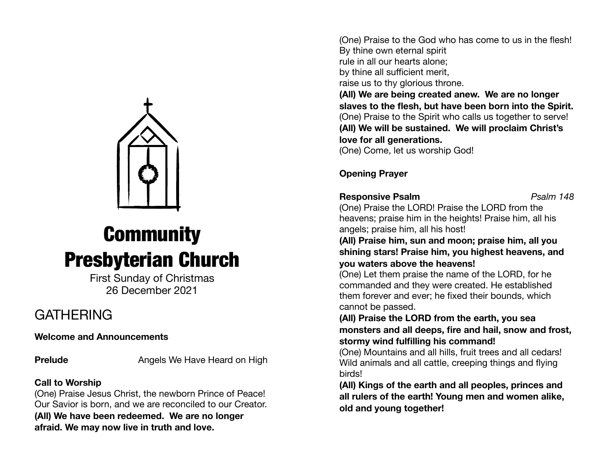

# **Community** Presbyterian Church

First Sunday of Christmas 26 December 2021

# **GATHERING**

**Welcome and Announcements** 

**Prelude Angels We Have Heard on High** 

### **Call to Worship**

(One) Praise Jesus Christ, the newborn Prince of Peace! Our Savior is born, and we are reconciled to our Creator. **(All) We have been redeemed. We are no longer afraid. We may now live in truth and love.** 

(One) Praise to the God who has come to us in the flesh! By thine own eternal spirit rule in all our hearts alone; by thine all sufficient merit, raise us to thy glorious throne.

**(All) We are being created anew. We are no longer slaves to the flesh, but have been born into the Spirit.**  (One) Praise to the Spirit who calls us together to serve! **(All) We will be sustained. We will proclaim Christ's love for all generations.** 

(One) Come, let us worship God!

### **Opening Prayer**

**Responsive Psalm** *Psalm 148* 

(One) Praise the LORD! Praise the LORD from the heavens; praise him in the heights! Praise him, all his angels; praise him, all his host!

**(All) Praise him, sun and moon; praise him, all you shining stars! Praise him, you highest heavens, and you waters above the heavens!** 

(One) Let them praise the name of the LORD, for he commanded and they were created. He established them forever and ever; he fixed their bounds, which cannot be passed.

**(All) Praise the LORD from the earth, you sea monsters and all deeps, fire and hail, snow and frost, stormy wind fulfilling his command!** 

(One) Mountains and all hills, fruit trees and all cedars! Wild animals and all cattle, creeping things and flying birds!

**(All) Kings of the earth and all peoples, princes and all rulers of the earth! Young men and women alike, old and young together!**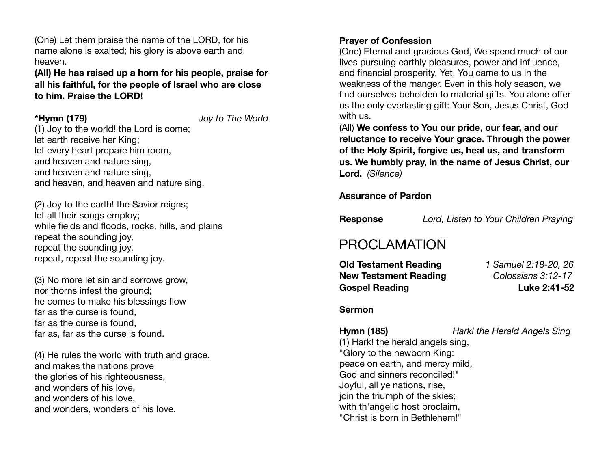(One) Let them praise the name of the LORD, for his name alone is exalted; his glory is above earth and heaven.

**(All) He has raised up a horn for his people, praise for all his faithful, for the people of Israel who are close to him. Praise the LORD!**

**\*Hymn (179)** *Joy to The World*

(1) Joy to the world! the Lord is come; let earth receive her King; let every heart prepare him room, and heaven and nature sing, and heaven and nature sing, and heaven, and heaven and nature sing.

(2) Joy to the earth! the Savior reigns; let all their songs employ; while fields and floods, rocks, hills, and plains repeat the sounding joy, repeat the sounding joy. repeat, repeat the sounding joy.

(3) No more let sin and sorrows grow, nor thorns infest the ground; he comes to make his blessings flow far as the curse is found, far as the curse is found, far as, far as the curse is found.

(4) He rules the world with truth and grace, and makes the nations prove the glories of his righteousness, and wonders of his love, and wonders of his love, and wonders, wonders of his love.

### **Prayer of Confession**

(One) Eternal and gracious God, We spend much of our lives pursuing earthly pleasures, power and influence, and financial prosperity. Yet, You came to us in the weakness of the manger. Even in this holy season, we find ourselves beholden to material gifts. You alone offer us the only everlasting gift: Your Son, Jesus Christ, God with us.

(All) **We confess to You our pride, our fear, and our reluctance to receive Your grace. Through the power of the Holy Spirit, forgive us, heal us, and transform us. We humbly pray, in the name of Jesus Christ, our Lord.** *(Silence)*

**Assurance of Pardon** 

**Response** *Lord, Listen to Your Children Praying* 

# PROCLAMATION

**Old Testament Reading** *1 Samuel 2:18-20, 26* **New Testament Reading** *Colossians 3:12-17*  **Gospel Reading Luke 2:41-52**

#### **Sermon**

**Hymn (185)** *Hark! the Herald Angels Sing*

(1) Hark! the herald angels sing, "Glory to the newborn King: peace on earth, and mercy mild, God and sinners reconciled!" Joyful, all ye nations, rise, join the triumph of the skies; with th'angelic host proclaim. "Christ is born in Bethlehem!"